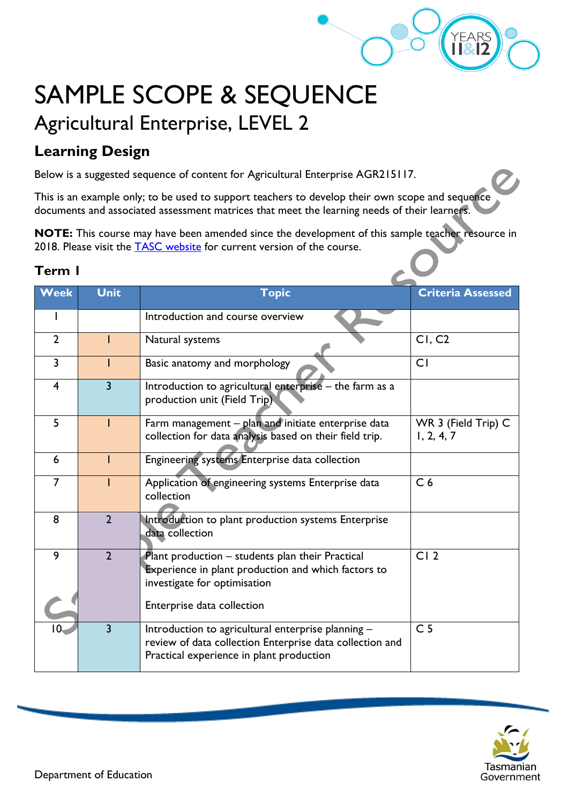

# SAMPLE SCOPE & SEQUENCE Agricultural Enterprise, LEVEL 2

## **Learning Design**

Below is a suggested sequence of content for Agricultural Enterprise AGR215117.

This is an example only; to be used to support teachers to develop their own scope and sequence documents and associated assessment matrices that meet the learning needs of their learners.

**NOTE:** This course may have been amended since the development of this sample teacher resource in 2018. Please visit the [TASC website](https://www.tasc.tas.gov.au/students/courses/a-z/) for current version of the course.

#### **Term 1**

| <b>Week</b>     | <b>Unit</b>    | <b>Topic</b>                                                                                                                                               | <b>Criteria Assessed</b>          |  |
|-----------------|----------------|------------------------------------------------------------------------------------------------------------------------------------------------------------|-----------------------------------|--|
|                 |                |                                                                                                                                                            |                                   |  |
|                 |                | Introduction and course overview                                                                                                                           |                                   |  |
| $\overline{2}$  |                | Natural systems                                                                                                                                            | CI, C2                            |  |
| $\overline{3}$  |                | Basic anatomy and morphology                                                                                                                               | CI                                |  |
| $\overline{4}$  | $\overline{3}$ | Introduction to agricultural enterprise - the farm as a<br>production unit (Field Trip).                                                                   |                                   |  |
| 5               |                | Farm management - plan and initiate enterprise data<br>collection for data analysis based on their field trip.                                             | WR 3 (Field Trip) C<br>1, 2, 4, 7 |  |
| 6               |                | Engineering systems Enterprise data collection                                                                                                             |                                   |  |
| $\overline{7}$  |                | Application of engineering systems Enterprise data<br>collection                                                                                           | C <sub>6</sub>                    |  |
| 8               | $\overline{2}$ | Introduction to plant production systems Enterprise<br>data collection                                                                                     |                                   |  |
| 9               | $\overline{2}$ | Plant production - students plan their Practical<br><b>Experience in plant production and which factors to</b><br>investigate for optimisation             | CI <sub>2</sub>                   |  |
|                 |                | Enterprise data collection                                                                                                                                 |                                   |  |
| 10 <sub>1</sub> | $\overline{3}$ | Introduction to agricultural enterprise planning -<br>review of data collection Enterprise data collection and<br>Practical experience in plant production | C <sub>5</sub>                    |  |

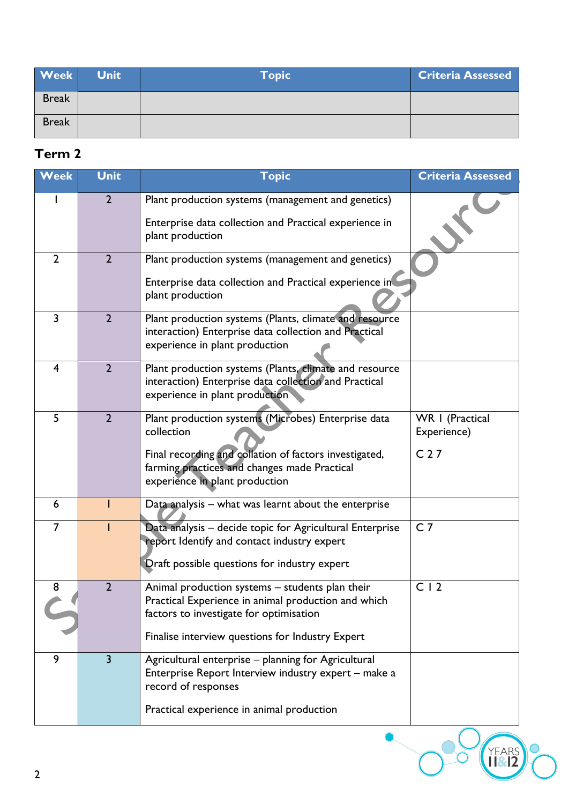| <b>Week</b>  | <b>Unit</b> | Topic | <b>Criteria Assessed</b> |
|--------------|-------------|-------|--------------------------|
| <b>Break</b> |             |       |                          |
| <b>Break</b> |             |       |                          |

#### **Term 2**

| <b>Week</b>    | <b>Unit</b>             | <b>Topic</b>                                                                                                                                                                                                  | <b>Criteria Assessed</b>                          |
|----------------|-------------------------|---------------------------------------------------------------------------------------------------------------------------------------------------------------------------------------------------------------|---------------------------------------------------|
|                | $\overline{2}$          | Plant production systems (management and genetics)<br>Enterprise data collection and Practical experience in<br>plant production                                                                              |                                                   |
| $\overline{2}$ | $\overline{2}$          | Plant production systems (management and genetics)<br>Enterprise data collection and Practical experience in<br>plant production                                                                              |                                                   |
| 3              | $\overline{2}$          | Plant production systems (Plants, climate and resource<br>interaction) Enterprise data collection and Practical<br>experience in plant production                                                             |                                                   |
| 4              | $\overline{2}$          | Plant production systems (Plants, climate and resource<br>interaction) Enterprise data collection and Practical<br>experience in plant production                                                             |                                                   |
| 5              | $\overline{2}$          | Plant production systems (Microbes) Enterprise data<br>collection<br>Final recording and collation of factors investigated,<br>farming practices and changes made Practical<br>experience in plant production | WR   (Practical<br>Experience)<br>C <sub>27</sub> |
| 6              |                         | Data analysis - what was learnt about the enterprise                                                                                                                                                          |                                                   |
| $\overline{7}$ |                         | Data analysis - decide topic for Agricultural Enterprise<br>report Identify and contact industry expert<br>Draft possible questions for industry expert                                                       | C <sub>7</sub>                                    |
| 8              | $\overline{\mathbf{c}}$ | Animal production systems – students plan their<br>Practical Experience in animal production and which<br>factors to investigate for optimisation                                                             | C <sub>12</sub>                                   |
|                |                         | Finalise interview questions for Industry Expert                                                                                                                                                              |                                                   |
| 9              | $\overline{3}$          | Agricultural enterprise - planning for Agricultural<br>Enterprise Report Interview industry expert - make a<br>record of responses                                                                            |                                                   |
|                |                         | Practical experience in animal production                                                                                                                                                                     |                                                   |
| $\overline{2}$ |                         |                                                                                                                                                                                                               |                                                   |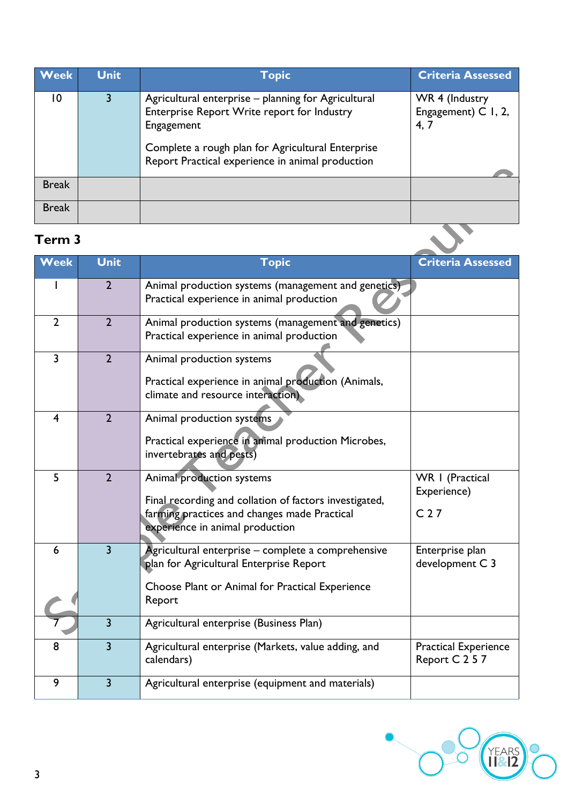| <b>Week</b>    | <b>Unit</b>    | <b>Topic</b>                                                                                                                                                                                                              | <b>Criteria Assessed</b>                      |
|----------------|----------------|---------------------------------------------------------------------------------------------------------------------------------------------------------------------------------------------------------------------------|-----------------------------------------------|
| $\overline{0}$ | $\overline{3}$ | Agricultural enterprise – planning for Agricultural<br>Enterprise Report Write report for Industry<br>Engagement<br>Complete a rough plan for Agricultural Enterprise<br>Report Practical experience in animal production | WR 4 (Industry<br>Engagement) C I, 2,<br>4, 7 |
| <b>Break</b>   |                |                                                                                                                                                                                                                           |                                               |
| <b>Break</b>   |                |                                                                                                                                                                                                                           |                                               |
| Term 3         |                |                                                                                                                                                                                                                           |                                               |

### **Term 3**

| Week                    | <b>Unit</b>    | <b>Topic</b>                                                                                                                                                           | <b>Criteria Assessed</b>                          |
|-------------------------|----------------|------------------------------------------------------------------------------------------------------------------------------------------------------------------------|---------------------------------------------------|
|                         |                |                                                                                                                                                                        |                                                   |
|                         | $\overline{2}$ | Animal production systems (management and genetics)<br>Practical experience in animal production                                                                       |                                                   |
| $\overline{2}$          | $\overline{2}$ | Animal production systems (management and genetics)<br>Practical experience in animal production                                                                       |                                                   |
| $\overline{3}$          | $\overline{2}$ | Animal production systems<br>Practical experience in animal production (Animals,<br>climate and resource interaction)                                                  |                                                   |
| $\overline{\mathbf{4}}$ | $\overline{2}$ | Animal production systems<br>Practical experience in animal production Microbes,<br>invertebrates and pests)                                                           |                                                   |
| 5                       | $\overline{2}$ | Animal production systems<br>Final recording and collation of factors investigated,<br>farming practices and changes made Practical<br>experience in animal production | WR   (Practical<br>Experience)<br>C <sub>27</sub> |
| 6                       | $\overline{3}$ | Agricultural enterprise - complete a comprehensive<br>plan for Agricultural Enterprise Report<br>Choose Plant or Animal for Practical Experience<br>Report             | Enterprise plan<br>development C 3                |
|                         | $\overline{3}$ | Agricultural enterprise (Business Plan)                                                                                                                                |                                                   |
| 8                       | $\overline{3}$ | Agricultural enterprise (Markets, value adding, and<br>calendars)                                                                                                      | <b>Practical Experience</b><br>Report C 2 5 7     |
| 9                       | $\overline{3}$ | Agricultural enterprise (equipment and materials)                                                                                                                      |                                                   |